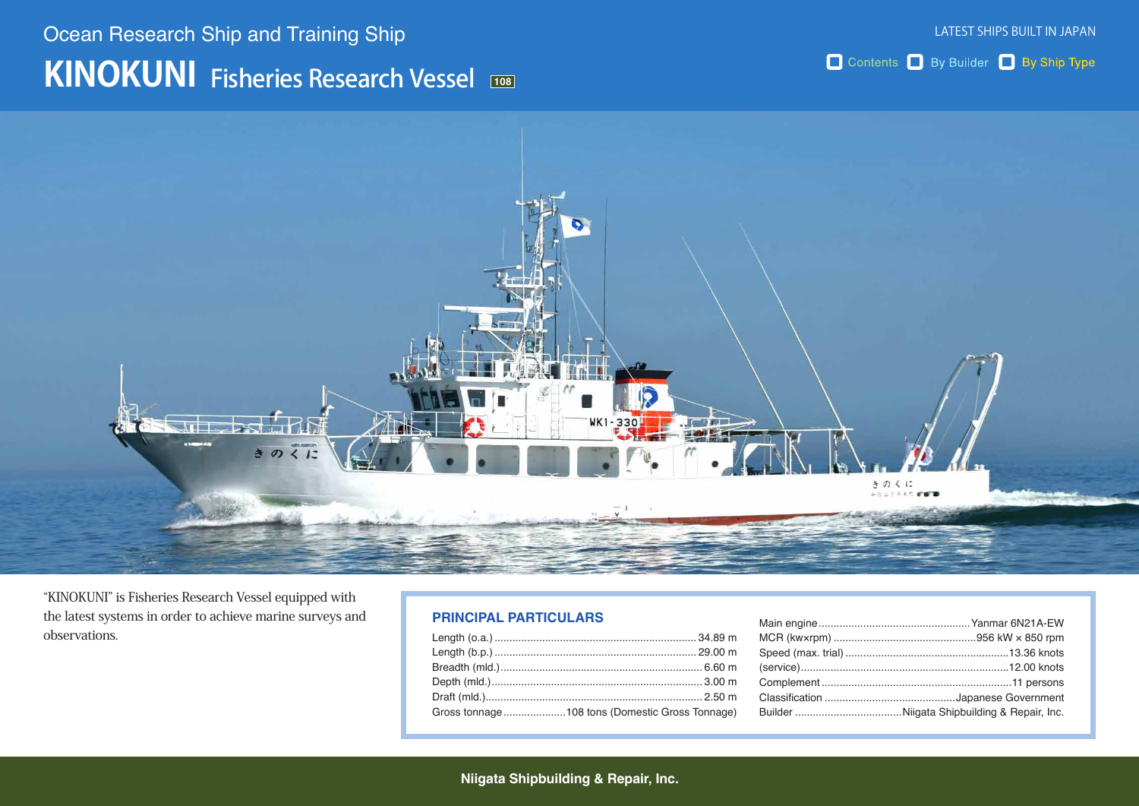# **KINOKUNI** Fisheries Research Vessel Ocean Research Ship and Training Ship

Contents By Builder By Ship Type



"KINOKUNI" is Fisheries Research Vessel equipped with the latest systems in order to achieve marine surveys and .observations

#### **PRINCIPAL PARTICULARS**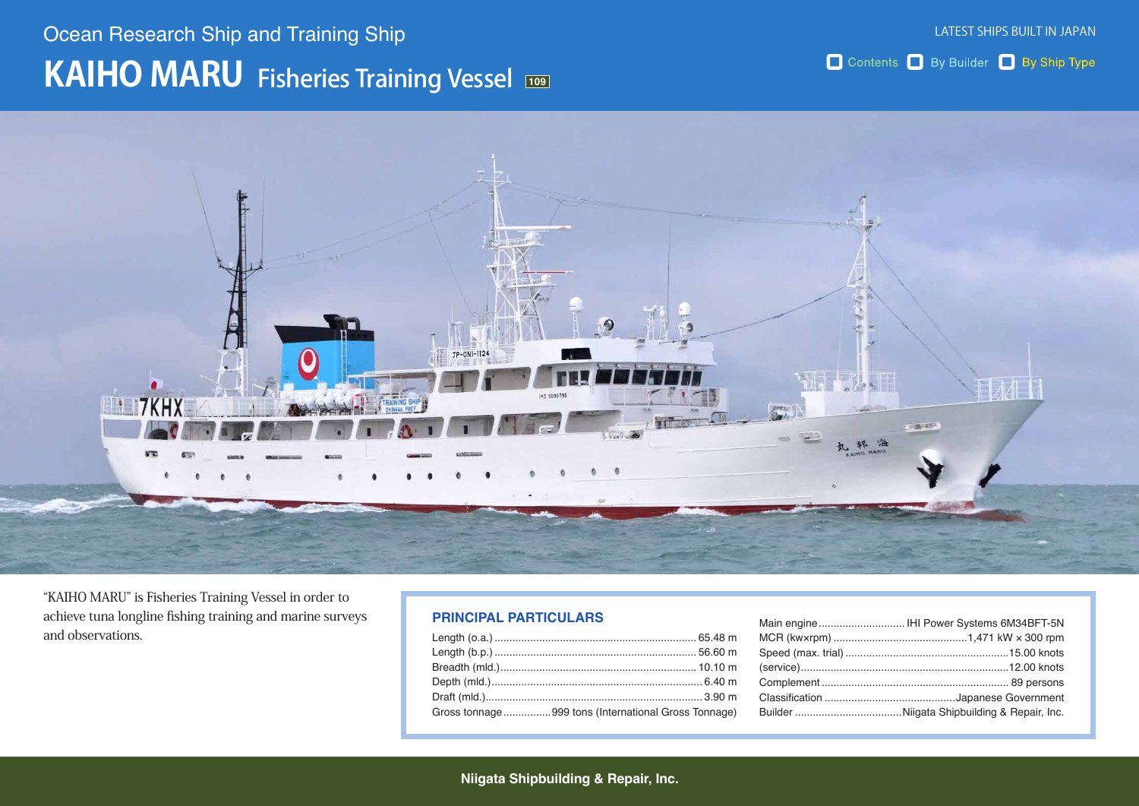# **109** KAIHO MARU Fisheries Training Vessel Ocean Research Ship and Training Ship

Contents By Builder By Ship Type



"KAIHO MARU" is Fisheries Training Vessel in order to achieve tuna longline fishing training and marine surveys and observations.

### **PRINCIPAL PARTICULARS**

| Gross tonnage999 tons (International Gross Tonnage) |
|-----------------------------------------------------|
|                                                     |